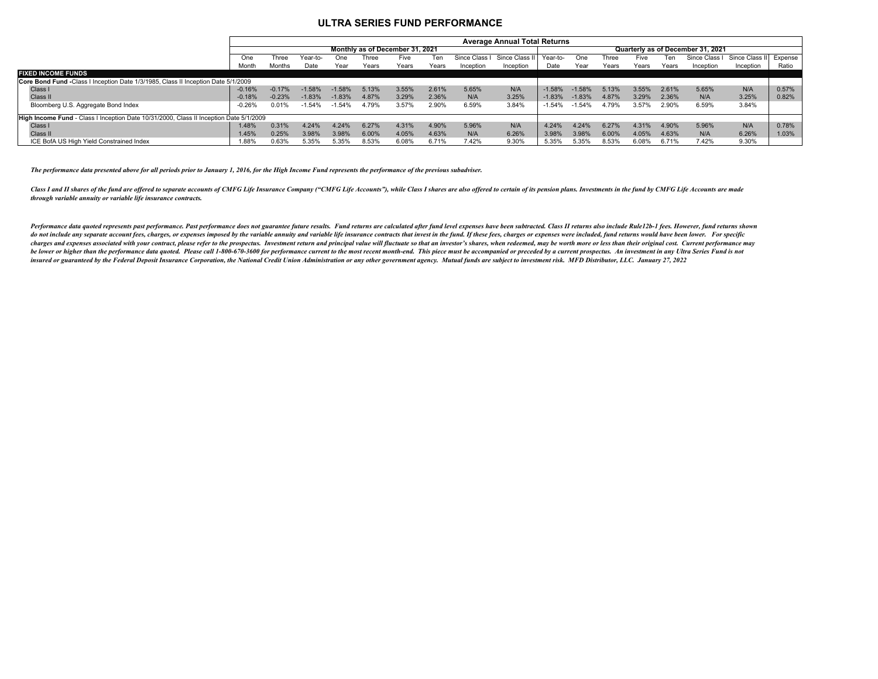## **ULTRA SERIES FUND PERFORMANCE**

|                                                                                        | <b>Average Annual Total Returns</b> |          |          |          |       |       |       |             |                |           |          |                                   |       |       |               |                |         |  |  |  |
|----------------------------------------------------------------------------------------|-------------------------------------|----------|----------|----------|-------|-------|-------|-------------|----------------|-----------|----------|-----------------------------------|-------|-------|---------------|----------------|---------|--|--|--|
|                                                                                        | Monthly as of December 31, 2021     |          |          |          |       |       |       |             |                |           |          | Quarterly as of December 31, 2021 |       |       |               |                |         |  |  |  |
|                                                                                        | One                                 | Three    | Year-to- | One      | Three | Five  | Ten   | Since Class | Since Class II | - Year-to | One      | Three                             | Five  |       | Since Class I | Since Class II | Expense |  |  |  |
|                                                                                        | Month                               | Months   | Date     | Year     | Years | Years | Years | Inception   | Inception      | Date      | Year     | Years                             | Years | Years | Inception     | Inception      | Ratio   |  |  |  |
| <b>FIXED INCOME FUNDS</b>                                                              |                                     |          |          |          |       |       |       |             |                |           |          |                                   |       |       |               |                |         |  |  |  |
| Core Bond Fund -Class I Inception Date 1/3/1985, Class II Inception Date 5/1/2009      |                                     |          |          |          |       |       |       |             |                |           |          |                                   |       |       |               |                |         |  |  |  |
| Class I                                                                                | $-0.16%$                            | $-0.17%$ | $-1.58%$ | $-1.58%$ | 5.13% | 3.55% | 2.61% | 5.65%       | N/A            | $-1.58%$  | $-1.58%$ | 5.13%                             | 3.55% | 2.61% | 5.65%         | N/A            | 0.57%   |  |  |  |
| Class II                                                                               | $-0.18%$                            | $-0.23%$ | $-1.83%$ | $-1.83%$ | 4.87% | 3.29% | 2.36% | N/A         | 3.25%          | $-1.83%$  | $-1.83%$ | 4.87%                             | 3.29% | 2.36% | N/A           | 3.25%          | 0.82%   |  |  |  |
| Bloomberg U.S. Aggregate Bond Index                                                    | $-0.26%$                            | .01%     | $-1.54%$ | 1.54%    | 4.79% | 3.57% | 2.90% | 6.59%       | 3.84%          | $-1.54%$  | -1.54%   | 4.79%                             | 3.57% | 2.90% | 6.59%         | 3.84%          |         |  |  |  |
|                                                                                        |                                     |          |          |          |       |       |       |             |                |           |          |                                   |       |       |               |                |         |  |  |  |
| High Income Fund - Class I Inception Date 10/31/2000, Class II Inception Date 5/1/2009 |                                     |          |          |          |       |       |       |             |                |           |          |                                   |       |       |               |                |         |  |  |  |
| Class I                                                                                | 1.48%                               | 0.31%    | 4.24%    | 4.24%    | 6.27% | 4.31% | 4.90% | 5.96%       | N/A            | 4.24%     | 4.24%    | 6.27%                             | 4.31% | 4.90% | 5.96%         | N/A            | 0.78%   |  |  |  |
| Class II                                                                               | 1.45%                               | 0.25%    | 3.98%    | 3.98%    | 6.00% | 4.05% | 4.63% | N/A         | 6.26%          | 3.98%     | 3.98%    | 6.00%                             | 4.05% | 4.63% | N/A           | 6.26%          | 1.03%   |  |  |  |
| ICE BofA US High Yield Constrained Index                                               | 88%.                                | 0.63%    | 5.35%    | 5.35%    | 8.53% | 6.08% | 6.71% | 7.42%       | 9.30%          | 5.35%     | 5.35%    | 8.53%                             | 6.08% | 6.71% | 7.42%         | 9.30%          |         |  |  |  |

*The performance data presented above for all periods prior to January 1, 2016, for the High Income Fund represents the performance of the previous subadviser.*

Class I and II shares of the fund are offered to separate accounts of CMFG Life Insurance Company ("CMFG Life Accounts"), while Class I shares are also offered to certain of its pension plans. Investments in the fund by CM *through variable annuity or variable life insurance contracts.* 

Performance data quoted represents past performance. Past performance does not guarantee future results. Fund returns are calculated after fund level expenses have been subtracted. Class II returns also include Rule12b-1 f do not include any separate account fees, charges, or expenses imposed by the variable annuity and variable life insurance contracts that invest in the fund. If these fees, charges or expenses were included, fund returns w charges and expenses associated with your contract, please refer to the prospectus. Investment return and principal value will fluctuate so that an investor's shares, when redeemed, may be worth more or less than their ori be lower or higher than the performance data quoted. Please call 1-800-670-3600 for performance current to the most recent month-end. This piece must be accompanied or preceded by a current prospectus. An investment in any insured or guaranteed by the Federal Deposit Insurance Corporation, the National Credit Union Administration or any other government agency. Mutual funds are subject to investment risk. MFD Distributor, LLC. January 27, 20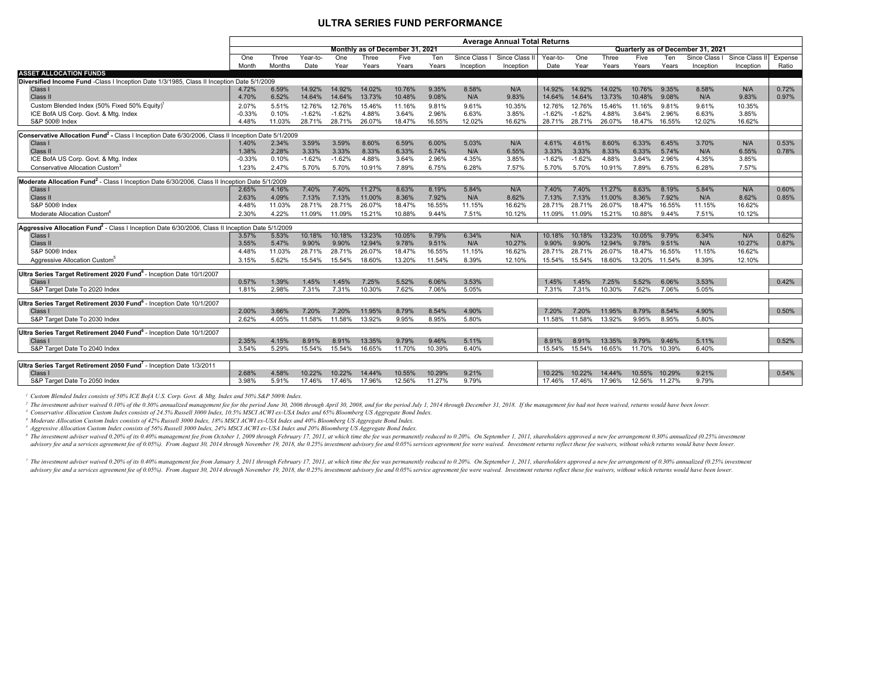## **ULTRA SERIES FUND PERFORMANCE**

|                                                                                                                | <b>Average Annual Total Returns</b>                                  |        |          |          |        |        |        |               |             |          |          |        |        |        |             |                |         |
|----------------------------------------------------------------------------------------------------------------|----------------------------------------------------------------------|--------|----------|----------|--------|--------|--------|---------------|-------------|----------|----------|--------|--------|--------|-------------|----------------|---------|
|                                                                                                                | Monthly as of December 31, 2021<br>Quarterly as of December 31, 2021 |        |          |          |        |        |        |               |             |          |          |        |        |        |             |                |         |
|                                                                                                                | One                                                                  | Three  | Year-to- | One      | Three  | Five   | Ten    | Since Class I | Since Class | Year-to- | One      | Three  | Five   | Ten    | Since Class | Since Class II | Expense |
|                                                                                                                | Month                                                                | Months | Date     | Year     | Years  | Years  | Years  | Inception     | Inception   | Date     | Year     | Years  | Years  | Years  | Inception   | Inception      | Ratio   |
| <b>ASSET ALLOCATION FUNDS</b>                                                                                  |                                                                      |        |          |          |        |        |        |               |             |          |          |        |        |        |             |                |         |
| Diversified Income Fund -Class I Inception Date 1/3/1985, Class II Inception Date 5/1/2009                     |                                                                      |        |          |          |        |        |        |               |             |          |          |        |        |        |             |                |         |
| Class I                                                                                                        | 4.72%                                                                | 6.59%  | 14.92%   | 14.92%   | 14.02% | 10.76% | 9.35%  | 8.58%         | N/A         | 14.92%   | 14.92%   | 14.02% | 10.76% | 9.35%  | 8.58%       | N/A            | 0.72%   |
| Class II                                                                                                       | 4.70%                                                                | 6.52%  | 14.64%   | 14.64%   | 13.73% | 10.48% | 9.08%  | N/A           | 9.83%       | 14.64%   | 14.64%   | 13.73% | 10.48% | 9.08%  | N/A         | 9.83%          | 0.97%   |
| Custom Blended Index (50% Fixed 50% Equity) <sup>1</sup>                                                       | 2.07%                                                                | 5.51%  | 12.76%   | 12.76%   | 15.46% | 11.16% | 9.81%  | 9.61%         | 10.35%      | 12.76%   | 12.76%   | 15.46% | 11.16% | 9.81%  | 9.61%       | 10.35%         |         |
| ICE BofA US Corp. Govt. & Mtg. Index                                                                           | $-0.33%$                                                             | 0.10%  | $-1.62%$ | $-1.62%$ | 4.88%  | 3.64%  | 2.96%  | 6.63%         | 3.85%       | $-1.62%$ | $-1.62%$ | 4.88%  | 3.64%  | 2.96%  | 6.63%       | 3.85%          |         |
| S&P 500® Index                                                                                                 | 4.48%                                                                | 11.03% | 28.71%   | 28.71%   | 26.07% | 18.47% | 16.55% | 12.02%        | 16.62%      | 28.71%   | 28.71%   | 26.07% | 18.47% | 16.55% | 12.02%      | 16.62%         |         |
| Conservative Allocation Fund <sup>2</sup> - Class I Inception Date 6/30/2006, Class II Inception Date 5/1/2009 |                                                                      |        |          |          |        |        |        |               |             |          |          |        |        |        |             |                |         |
| Class I                                                                                                        | 1.40%                                                                | 2.34%  | 3.59%    | 3.59%    | 8.60%  | 6.59%  | 6.00%  | 5.03%         | N/A         | 4.61%    | 4.61%    | 8.60%  | 6.33%  | 6.45%  | 3.70%       | N/A            | 0.53%   |
| Class II                                                                                                       | 1.38%                                                                | 2.28%  | 3.33%    | 3.33%    | 8.33%  | 6.33%  | 5.74%  | N/A           | 6.55%       | 3.33%    | 3.33%    | 8.33%  | 6.33%  | 5.74%  | N/A         | 6.55%          | 0.78%   |
| ICE BofA US Corp. Govt. & Mtg. Index                                                                           | $-0.33%$                                                             | 0.10%  | $-1.62%$ | $-1.62%$ | 4.88%  | 3.64%  | 2.96%  | 4.35%         | 3.85%       | $-1.62%$ | $-1.62%$ | 4.88%  | 3.64%  | 2.96%  | 4.35%       | 3.85%          |         |
| Conservative Allocation Custom <sup>3</sup>                                                                    | 1.23%                                                                | 2.47%  | 5.70%    | 5.70%    | 10.91% | 7.89%  | 6.75%  | 6.28%         | 7.57%       | 5.70%    | 5.70%    | 10.91% | 7.89%  | 6.75%  | 6.28%       | 7.57%          |         |
|                                                                                                                |                                                                      |        |          |          |        |        |        |               |             |          |          |        |        |        |             |                |         |
| Moderate Allocation Fund <sup>2</sup> - Class I Inception Date 6/30/2006, Class II Inception Date 5/1/2009     |                                                                      |        |          |          |        |        |        |               |             |          |          |        |        |        |             |                |         |
| Class I                                                                                                        | 2.65%                                                                | 4.16%  | 7.40%    | 7.40%    | 11.27% | 8.63%  | 8.19%  | 5.84%         | N/A         | 7.40%    | 7.40%    | 11.27% | 8.63%  | 8.19%  | 5.84%       | N/A            | 0.60%   |
| Class II                                                                                                       | 2.63%                                                                | 4.09%  | 7.13%    | 7.13%    | 11.00% | 8.36%  | 7.92%  | N/A           | 8.62%       | 7.13%    | 7.13%    | 11.00% | 8.36%  | 7.92%  | N/A         | 8.62%          | 0.85%   |
| S&P 500® Index                                                                                                 | 4.48%                                                                | 11.03% | 28.71%   | 28.71%   | 26.07% | 18.47% | 16.55% | 11.15%        | 16.62%      | 28.71%   | 28.71%   | 26.07% | 18.47% | 16.55% | 11.15%      | 16.62%         |         |
| Moderate Allocation Custom <sup>4</sup>                                                                        | 2.30%                                                                | 4.22%  | 11.09%   | 11.09%   | 15.21% | 10.88% | 9.44%  | 7.51%         | 10.12%      | 11.09%   | 11.09%   | 15.21% | 10.88% | 9.44%  | 7.51%       | 10.12%         |         |
| Aggressive Allocation Fund <sup>2</sup> - Class I Inception Date 6/30/2006, Class II Inception Date 5/1/2009   |                                                                      |        |          |          |        |        |        |               |             |          |          |        |        |        |             |                |         |
| Class I                                                                                                        | 3.57%                                                                | 5.53%  | 10.18%   | 10.18%   | 13.23% | 10.05% | 9.79%  | 6.34%         | N/A         | 10.18%   | 10.18%   | 13.23% | 10.05% | 9.79%  | 6.34%       | N/A            | 0.62%   |
| Class II                                                                                                       | 3.55%                                                                | 5.47%  | 9.90%    | 9.90%    | 12.94% | 9.78%  | 9.51%  | N/A           | 10.27%      | 9.90%    | 9.90%    | 12.94% | 9.78%  | 9.51%  | N/A         | 10.27%         | 0.87%   |
| S&P 500® Index                                                                                                 | 4.48%                                                                | 11.03% | 28.71%   | 28.71%   | 26.07% | 18.47% | 16.55% | 11.15%        | 16.62%      | 28.71%   | 28.71%   | 26.07% | 18.47% | 16.55% | 11.15%      | 16.62%         |         |
| Aggressive Allocation Custom <sup>5</sup>                                                                      | 3.15%                                                                | 5.62%  | 15.54%   | 15.54%   | 18.60% | 13.20% | 11.54% | 8.39%         | 12.10%      | 15.54%   | 15.54%   | 18.60% | 13.20% | 11.54% | 8.39%       | 12.10%         |         |
|                                                                                                                |                                                                      |        |          |          |        |        |        |               |             |          |          |        |        |        |             |                |         |
| Ultra Series Target Retirement 2020 Fund <sup>6</sup> - Inception Date 10/1/2007                               |                                                                      |        |          |          |        |        |        |               |             |          |          |        |        |        |             |                |         |
| Class I                                                                                                        | 0.57%                                                                | 1.39%  | 1.45%    | 1.45%    | 7.25%  | 5.52%  | 6.06%  | 3.53%         |             | 1.45%    | 1.45%    | 7.25%  | 5.52%  | 6.06%  | 3.53%       |                | 0.42%   |
| S&P Target Date To 2020 Index                                                                                  | 1.81%                                                                | 2.98%  | 7.31%    | 7.31%    | 10.30% | 7.62%  | 7.06%  | 5.05%         |             | 7.31%    | 7.31%    | 10.30% | 7.62%  | 7.06%  | 5.05%       |                |         |
| Ultra Series Target Retirement 2030 Fund <sup>6</sup> - Inception Date 10/1/2007                               |                                                                      |        |          |          |        |        |        |               |             |          |          |        |        |        |             |                |         |
| Class I                                                                                                        | 2.00%                                                                | 3.66%  | 7.20%    | 7.20%    | 11.95% | 8.79%  | 8.54%  | 4.90%         |             | 7.20%    | 7.20%    | 11.95% | 8.79%  | 8.54%  | 4.90%       |                | 0.50%   |
| S&P Target Date To 2030 Index                                                                                  | 2.62%                                                                | 4.05%  | 11.58%   | 11.58%   | 13.92% | 9.95%  | 8.95%  | 5.80%         |             | 11.58%   | 11.58%   | 13.92% | 9.95%  | 8.95%  | 5.80%       |                |         |
|                                                                                                                |                                                                      |        |          |          |        |        |        |               |             |          |          |        |        |        |             |                |         |
| Ultra Series Target Retirement 2040 Fund <sup>6</sup> - Inception Date 10/1/2007                               |                                                                      |        |          |          |        |        |        |               |             |          |          |        |        |        |             |                |         |
| Class                                                                                                          | 2.35%                                                                | 4.15%  | 8.91%    | 8.91%    | 13.35% | 9.79%  | 9.46%  | 5.11%         |             | 8.91%    | 8.91%    | 13.35% | 9.79%  | 9.46%  | 5.11%       |                | 0.52%   |
| S&P Target Date To 2040 Index                                                                                  | 3.54%                                                                | 5.29%  | 15.54%   | 15.54%   | 16.65% | 11.70% | 10.39% | 6.40%         |             | 15.54%   | 15.54%   | 16.65% | 11.70% | 10.39% | 6.40%       |                |         |
| Ultra Series Target Retirement 2050 Fund <sup>7</sup> - Inception Date 1/3/2011                                |                                                                      |        |          |          |        |        |        |               |             |          |          |        |        |        |             |                |         |
|                                                                                                                |                                                                      |        |          |          |        |        |        |               |             |          |          |        |        |        |             |                | 0.54%   |
| Class I                                                                                                        | 2.68%                                                                | 4.58%  | 10.22%   | 10.22%   | 14.44% | 10.55% | 10.29% | 9.21%         |             | 10.22%   | 10.22%   | 14.44% | 10.55% | 10.29% | 9.21%       |                |         |
| S&P Target Date To 2050 Index                                                                                  | 3.98%                                                                | 5.91%  | 17.46%   | 17.46%   | 17.96% | 12.56% | 11.27% | 9.79%         |             | 17.46%   | 17.46%   | 17.96% | 12.56% | 11.27% | 9.79%       |                |         |

*1 Custom Blended Index consists of 50% ICE BofA U.S. Corp. Govt. & Mtg. Index and 50% S&P 500® Index.*

<sup>2</sup> The investment adviser waived 0.10% of the 0.30% annualized management fee for the period June 30, 2006 through April 30, 2008, and for the period July 1, 2014 through December 31, 2018. If the management fee had not b

*3 Conservative Allocation Custom Index consists of 24.5% Russell 3000 Index, 10.5% MSCI ACWI ex-USA Index and 65% Bloomberg US Aggregate Bond Index.*

*4 Moderate Allocation Custom Index consists of 42% Russell 3000 Index, 18% MSCI ACWI ex-USA Index and 40% Bloomberg US Aggregate Bond Index.*

*5 Aggressive Allocation Custom Index consists of 56% Russell 3000 Index, 24% MSCI ACWI ex-USA Index and 20% Bloomberg US Aggregate Bond Index.*

Fine investment adviser waived 0.20% of its 0.40% management fee from October 1, 2009 through February 17, 2011, at which time the fee was permanently reduced to 0.20%. On September 1, 2011, shareholders approved a new fee advisory fee and a services agreement fee of 0.05%). From August 30, 2014 through November 19, 2018, the 0.25% investment advisory fee and 0.05% services agreement fee were waived. Investment returns reflect these fee waiv

The investment adviser waived 0.20% of its 0.40% management fee from January 3, 2011 through February 17, 2011, at which time the fee was permanently reduced to 0.20%. On September 1, 2011, shareholders approved a new fee advisory fee and a services agreement fee of 0.05%). From August 30, 2014 through November 19, 2018, the 0.25% investment advisory fee and 0.05% service agreement fee were waived. Investment returns reflect these fee waive